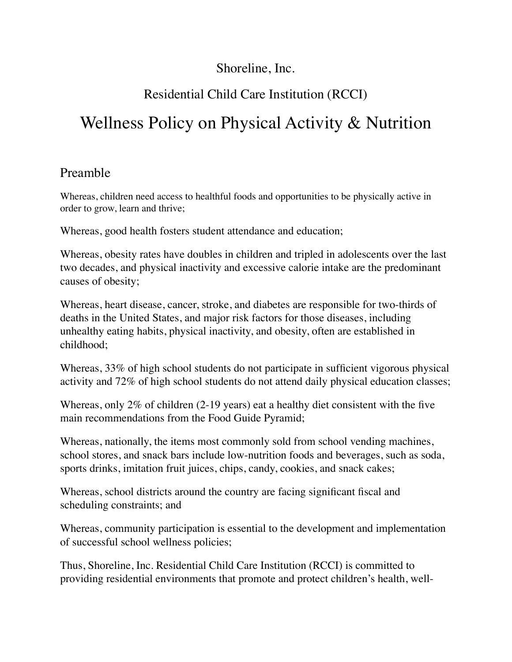# Shoreline, Inc.

# Residential Child Care Institution (RCCI)

# Wellness Policy on Physical Activity & Nutrition

## Preamble

Whereas, children need access to healthful foods and opportunities to be physically active in order to grow, learn and thrive;

Whereas, good health fosters student attendance and education;

Whereas, obesity rates have doubles in children and tripled in adolescents over the last two decades, and physical inactivity and excessive calorie intake are the predominant causes of obesity;

Whereas, heart disease, cancer, stroke, and diabetes are responsible for two-thirds of deaths in the United States, and major risk factors for those diseases, including unhealthy eating habits, physical inactivity, and obesity, often are established in childhood;

Whereas, 33% of high school students do not participate in sufficient vigorous physical activity and 72% of high school students do not attend daily physical education classes;

Whereas, only 2% of children (2-19 years) eat a healthy diet consistent with the five main recommendations from the Food Guide Pyramid;

Whereas, nationally, the items most commonly sold from school vending machines, school stores, and snack bars include low-nutrition foods and beverages, such as soda, sports drinks, imitation fruit juices, chips, candy, cookies, and snack cakes;

Whereas, school districts around the country are facing significant fiscal and scheduling constraints; and

Whereas, community participation is essential to the development and implementation of successful school wellness policies;

Thus, Shoreline, Inc. Residential Child Care Institution (RCCI) is committed to providing residential environments that promote and protect children's health, well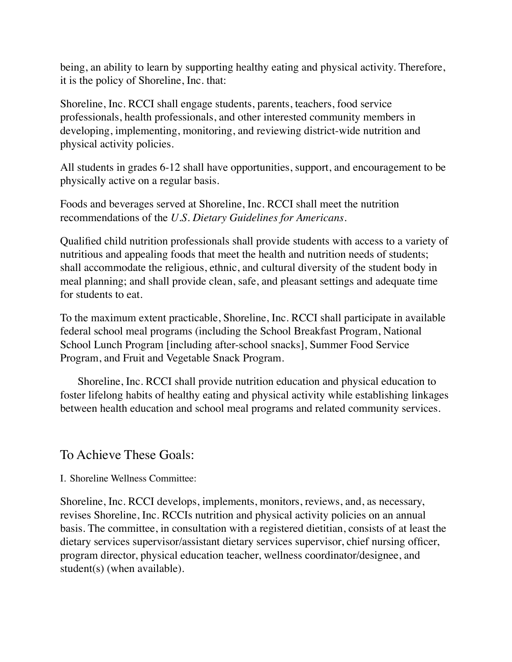being, an ability to learn by supporting healthy eating and physical activity. Therefore, it is the policy of Shoreline, Inc. that:

Shoreline, Inc. RCCI shall engage students, parents, teachers, food service professionals, health professionals, and other interested community members in developing, implementing, monitoring, and reviewing district-wide nutrition and physical activity policies.

All students in grades 6-12 shall have opportunities, support, and encouragement to be physically active on a regular basis.

Foods and beverages served at Shoreline, Inc. RCCI shall meet the nutrition recommendations of the *U.S. Dietary Guidelines for Americans.*

Qualified child nutrition professionals shall provide students with access to a variety of nutritious and appealing foods that meet the health and nutrition needs of students; shall accommodate the religious, ethnic, and cultural diversity of the student body in meal planning; and shall provide clean, safe, and pleasant settings and adequate time for students to eat.

To the maximum extent practicable, Shoreline, Inc. RCCI shall participate in available federal school meal programs (including the School Breakfast Program, National School Lunch Program [including after-school snacks], Summer Food Service Program, and Fruit and Vegetable Snack Program.

 Shoreline, Inc. RCCI shall provide nutrition education and physical education to foster lifelong habits of healthy eating and physical activity while establishing linkages between health education and school meal programs and related community services.

### To Achieve These Goals:

I. Shoreline Wellness Committee:

Shoreline, Inc. RCCI develops, implements, monitors, reviews, and, as necessary, revises Shoreline, Inc. RCCIs nutrition and physical activity policies on an annual basis. The committee, in consultation with a registered dietitian, consists of at least the dietary services supervisor/assistant dietary services supervisor, chief nursing officer, program director, physical education teacher, wellness coordinator/designee, and student(s) (when available).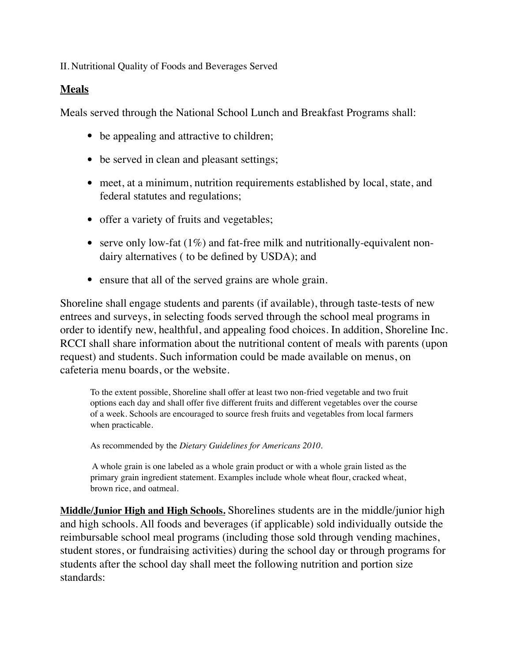II. Nutritional Quality of Foods and Beverages Served

#### **Meals**

Meals served through the National School Lunch and Breakfast Programs shall:

- be appealing and attractive to children;
- be served in clean and pleasant settings;
- meet, at a minimum, nutrition requirements established by local, state, and federal statutes and regulations;
- offer a variety of fruits and vegetables;
- serve only low-fat (1%) and fat-free milk and nutritionally-equivalent nondairy alternatives ( to be defined by USDA); and
- ensure that all of the served grains are whole grain.

Shoreline shall engage students and parents (if available), through taste-tests of new entrees and surveys, in selecting foods served through the school meal programs in order to identify new, healthful, and appealing food choices. In addition, Shoreline Inc. RCCI shall share information about the nutritional content of meals with parents (upon request) and students. Such information could be made available on menus, on cafeteria menu boards, or the website.

To the extent possible, Shoreline shall offer at least two non-fried vegetable and two fruit options each day and shall offer five different fruits and different vegetables over the course of a week. Schools are encouraged to source fresh fruits and vegetables from local farmers when practicable.

As recommended by the *Dietary Guidelines for Americans 2010.*

 A whole grain is one labeled as a whole grain product or with a whole grain listed as the primary grain ingredient statement. Examples include whole wheat flour, cracked wheat, brown rice, and oatmeal.

**Middle/Junior High and High Schools.** Shorelines students are in the middle/junior high and high schools. All foods and beverages (if applicable) sold individually outside the reimbursable school meal programs (including those sold through vending machines, student stores, or fundraising activities) during the school day or through programs for students after the school day shall meet the following nutrition and portion size standards: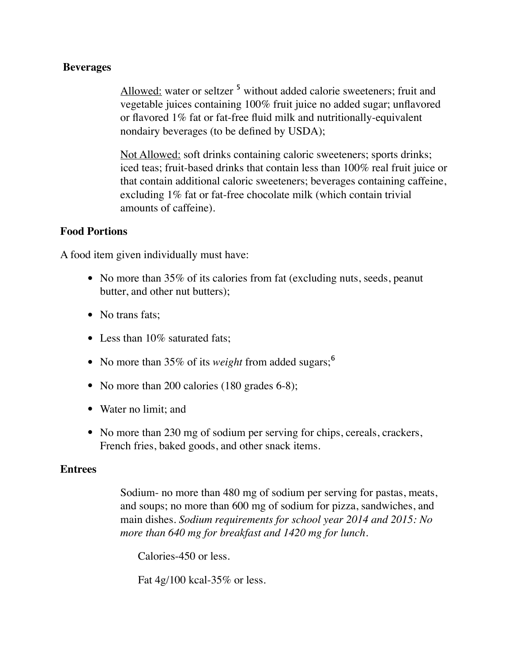#### **Beverages**

Allowed: water or seltzer <sup>5</sup> without added calorie sweeteners; fruit and vegetable juices containing 100% fruit juice no added sugar; unflavored or flavored 1% fat or fat-free fluid milk and nutritionally-equivalent nondairy beverages (to be defined by USDA);

Not Allowed: soft drinks containing caloric sweeteners; sports drinks; iced teas; fruit-based drinks that contain less than 100% real fruit juice or that contain additional caloric sweeteners; beverages containing caffeine, excluding 1% fat or fat-free chocolate milk (which contain trivial amounts of caffeine).

#### **Food Portions**

A food item given individually must have:

- No more than 35% of its calories from fat (excluding nuts, seeds, peanut butter, and other nut butters);
- No trans fats:
- Less than 10% saturated fats;
- No more than 35% of its *weight* from added sugars;<sup>6</sup>
- No more than 200 calories (180 grades 6-8);
- Water no limit; and
- No more than 230 mg of sodium per serving for chips, cereals, crackers, French fries, baked goods, and other snack items.

#### **Entrees**

Sodium- no more than 480 mg of sodium per serving for pastas, meats, and soups; no more than 600 mg of sodium for pizza, sandwiches, and main dishes. *Sodium requirements for school year 2014 and 2015: No more than 640 mg for breakfast and 1420 mg for lunch.*

Calories-450 or less.

Fat 4g/100 kcal-35% or less.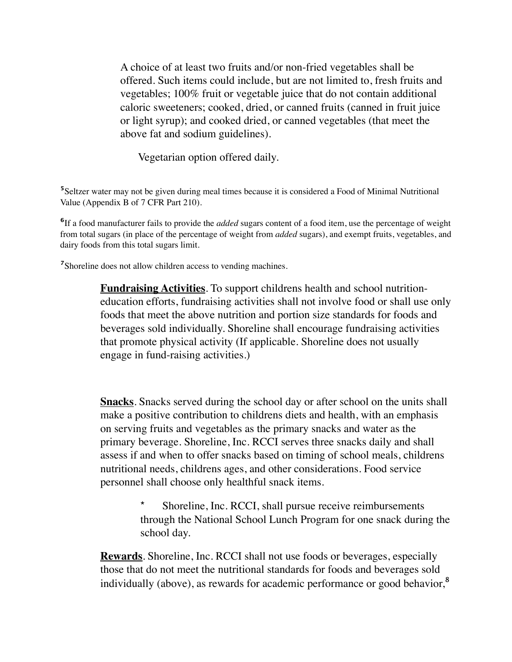A choice of at least two fruits and/or non-fried vegetables shall be offered. Such items could include, but are not limited to, fresh fruits and vegetables; 100% fruit or vegetable juice that do not contain additional caloric sweeteners; cooked, dried, or canned fruits (canned in fruit juice or light syrup); and cooked dried, or canned vegetables (that meet the above fat and sodium guidelines).

Vegetarian option offered daily.

<sup>5</sup> Seltzer water may not be given during meal times because it is considered a Food of Minimal Nutritional Value (Appendix B of 7 CFR Part 210).

<sup>6</sup>If a food manufacturer fails to provide the *added* sugars content of a food item, use the percentage of weight from total sugars (in place of the percentage of weight from *added* sugars), and exempt fruits, vegetables, and dairy foods from this total sugars limit.

<sup>7</sup>Shoreline does not allow children access to vending machines.

**Fundraising Activities**. To support childrens health and school nutritioneducation efforts, fundraising activities shall not involve food or shall use only foods that meet the above nutrition and portion size standards for foods and beverages sold individually. Shoreline shall encourage fundraising activities that promote physical activity (If applicable. Shoreline does not usually engage in fund-raising activities.)

**Snacks**. Snacks served during the school day or after school on the units shall make a positive contribution to childrens diets and health, with an emphasis on serving fruits and vegetables as the primary snacks and water as the primary beverage. Shoreline, Inc. RCCI serves three snacks daily and shall assess if and when to offer snacks based on timing of school meals, childrens nutritional needs, childrens ages, and other considerations. Food service personnel shall choose only healthful snack items.

> Shoreline, Inc. RCCI, shall pursue receive reimbursements through the National School Lunch Program for one snack during the school day.

**Rewards**. Shoreline, Inc. RCCI shall not use foods or beverages, especially those that do not meet the nutritional standards for foods and beverages sold individually (above), as rewards for academic performance or good behavior, $\delta$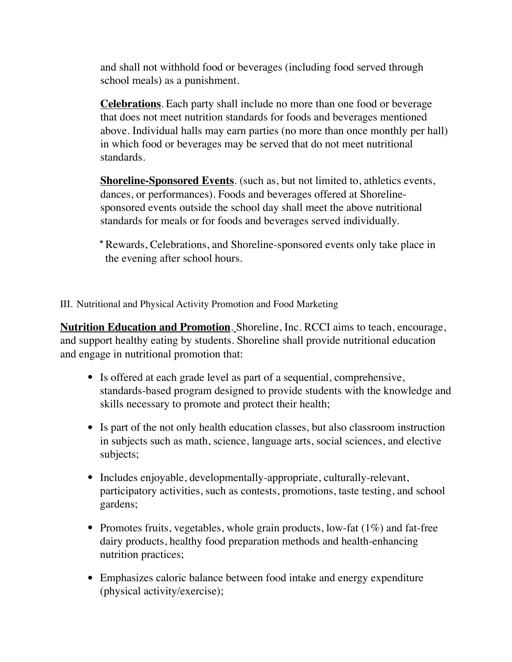and shall not withhold food or beverages (including food served through school meals) as a punishment.

**Celebrations**. Each party shall include no more than one food or beverage that does not meet nutrition standards for foods and beverages mentioned above. Individual halls may earn parties (no more than once monthly per hall) in which food or beverages may be served that do not meet nutritional standards.

**Shoreline-Sponsored Events**. (such as, but not limited to, athletics events, dances, or performances). Foods and beverages offered at Shorelinesponsored events outside the school day shall meet the above nutritional standards for meals or for foods and beverages served individually.

\* Rewards, Celebrations, and Shoreline-sponsored events only take place in the evening after school hours.

III. Nutritional and Physical Activity Promotion and Food Marketing

**Nutrition Education and Promotion**. Shoreline, Inc. RCCI aims to teach, encourage, and support healthy eating by students. Shoreline shall provide nutritional education and engage in nutritional promotion that:

- Is offered at each grade level as part of a sequential, comprehensive, standards-based program designed to provide students with the knowledge and skills necessary to promote and protect their health;
- Is part of the not only health education classes, but also classroom instruction in subjects such as math, science, language arts, social sciences, and elective subjects;
- Includes enjoyable, developmentally-appropriate, culturally-relevant, participatory activities, such as contests, promotions, taste testing, and school gardens;
- Promotes fruits, vegetables, whole grain products, low-fat  $(1\%)$  and fat-free dairy products, healthy food preparation methods and health-enhancing nutrition practices;
- Emphasizes caloric balance between food intake and energy expenditure (physical activity/exercise);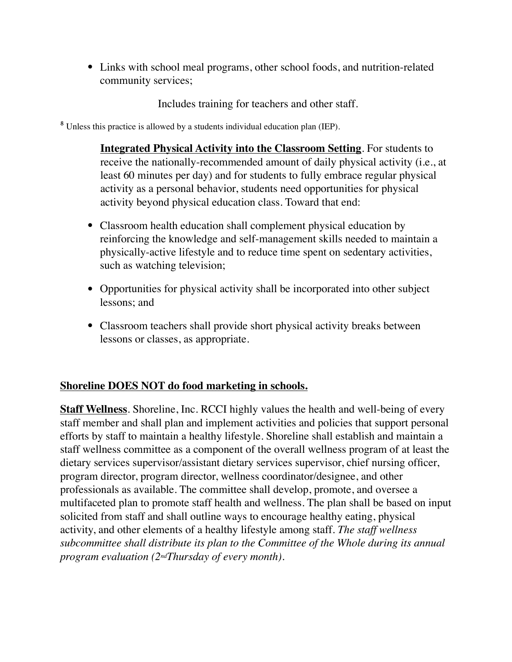• Links with school meal programs, other school foods, and nutrition-related community services;

Includes training for teachers and other staff.

<sup>8</sup> Unless this practice is allowed by a students individual education plan (IEP).

**Integrated Physical Activity into the Classroom Setting**. For students to receive the nationally-recommended amount of daily physical activity (i.e., at least 60 minutes per day) and for students to fully embrace regular physical activity as a personal behavior, students need opportunities for physical activity beyond physical education class. Toward that end:

- Classroom health education shall complement physical education by reinforcing the knowledge and self-management skills needed to maintain a physically-active lifestyle and to reduce time spent on sedentary activities, such as watching television;
- Opportunities for physical activity shall be incorporated into other subject lessons; and
- Classroom teachers shall provide short physical activity breaks between lessons or classes, as appropriate.

#### **Shoreline DOES NOT do food marketing in schools.**

**Staff Wellness**. Shoreline, Inc. RCCI highly values the health and well-being of every staff member and shall plan and implement activities and policies that support personal efforts by staff to maintain a healthy lifestyle. Shoreline shall establish and maintain a staff wellness committee as a component of the overall wellness program of at least the dietary services supervisor/assistant dietary services supervisor, chief nursing officer, program director, program director, wellness coordinator/designee, and other professionals as available. The committee shall develop, promote, and oversee a multifaceted plan to promote staff health and wellness. The plan shall be based on input solicited from staff and shall outline ways to encourage healthy eating, physical activity, and other elements of a healthy lifestyle among staff. *The staff wellness subcommittee shall distribute its plan to the Committee of the Whole during its annual program evaluation (2ndThursday of every month).*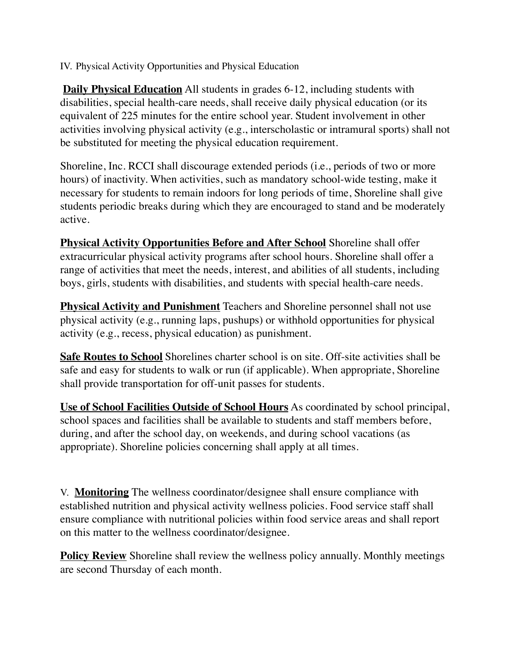IV. Physical Activity Opportunities and Physical Education

**Daily Physical Education** All students in grades 6-12, including students with disabilities, special health-care needs, shall receive daily physical education (or its equivalent of 225 minutes for the entire school year. Student involvement in other activities involving physical activity (e.g., interscholastic or intramural sports) shall not be substituted for meeting the physical education requirement.

Shoreline, Inc. RCCI shall discourage extended periods (i.e., periods of two or more hours) of inactivity. When activities, such as mandatory school-wide testing, make it necessary for students to remain indoors for long periods of time, Shoreline shall give students periodic breaks during which they are encouraged to stand and be moderately active.

**Physical Activity Opportunities Before and After School** Shoreline shall offer extracurricular physical activity programs after school hours. Shoreline shall offer a range of activities that meet the needs, interest, and abilities of all students, including boys, girls, students with disabilities, and students with special health-care needs.

**Physical Activity and Punishment** Teachers and Shoreline personnel shall not use physical activity (e.g., running laps, pushups) or withhold opportunities for physical activity (e.g., recess, physical education) as punishment.

**Safe Routes to School** Shorelines charter school is on site. Off-site activities shall be safe and easy for students to walk or run (if applicable). When appropriate, Shoreline shall provide transportation for off-unit passes for students.

**Use of School Facilities Outside of School Hours** As coordinated by school principal, school spaces and facilities shall be available to students and staff members before, during, and after the school day, on weekends, and during school vacations (as appropriate). Shoreline policies concerning shall apply at all times.

V. **Monitoring** The wellness coordinator/designee shall ensure compliance with established nutrition and physical activity wellness policies. Food service staff shall ensure compliance with nutritional policies within food service areas and shall report on this matter to the wellness coordinator/designee.

**Policy Review** Shoreline shall review the wellness policy annually. Monthly meetings are second Thursday of each month.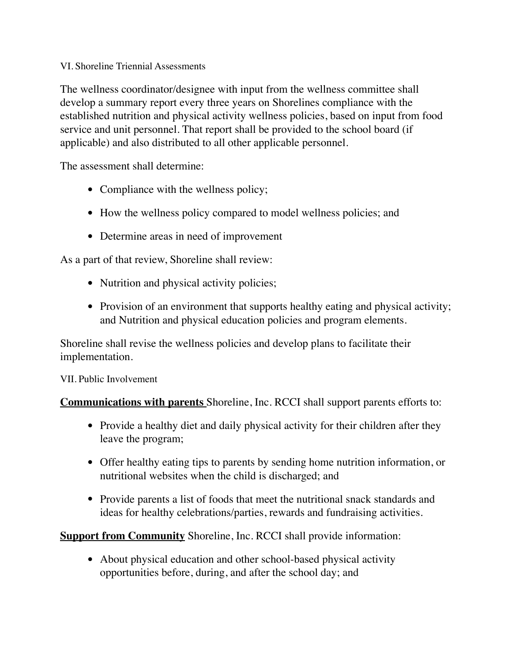#### VI. Shoreline Triennial Assessments

The wellness coordinator/designee with input from the wellness committee shall develop a summary report every three years on Shorelines compliance with the established nutrition and physical activity wellness policies, based on input from food service and unit personnel. That report shall be provided to the school board (if applicable) and also distributed to all other applicable personnel.

The assessment shall determine:

- Compliance with the wellness policy;
- How the wellness policy compared to model wellness policies; and
- Determine areas in need of improvement

As a part of that review, Shoreline shall review:

- Nutrition and physical activity policies;
- Provision of an environment that supports healthy eating and physical activity; and Nutrition and physical education policies and program elements.

Shoreline shall revise the wellness policies and develop plans to facilitate their implementation.

VII. Public Involvement

**Communications with parents** Shoreline, Inc. RCCI shall support parents efforts to:

- Provide a healthy diet and daily physical activity for their children after they leave the program;
- Offer healthy eating tips to parents by sending home nutrition information, or nutritional websites when the child is discharged; and
- Provide parents a list of foods that meet the nutritional snack standards and ideas for healthy celebrations/parties, rewards and fundraising activities.

**Support from Community** Shoreline, Inc. RCCI shall provide information:

• About physical education and other school-based physical activity opportunities before, during, and after the school day; and